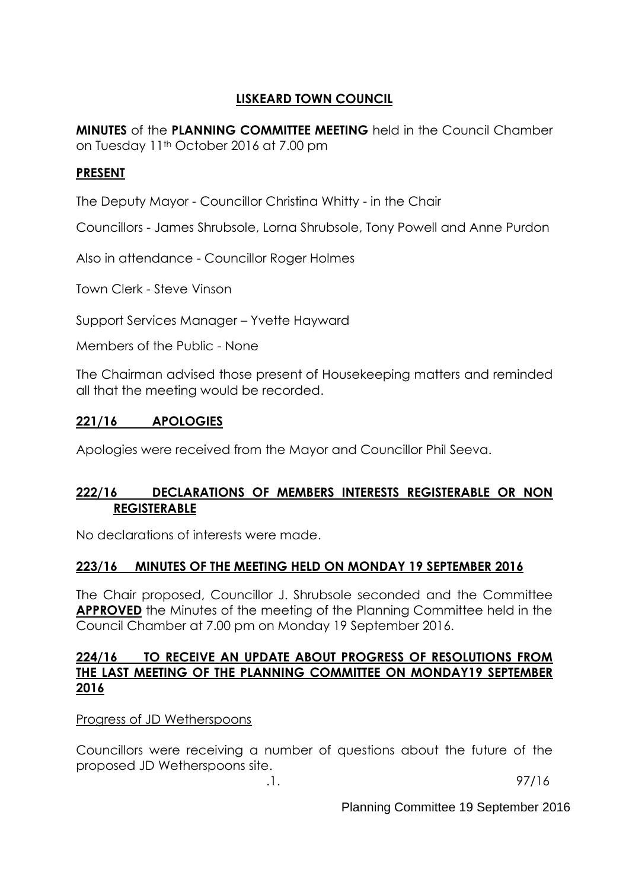## **LISKEARD TOWN COUNCIL**

**MINUTES** of the **PLANNING COMMITTEE MEETING** held in the Council Chamber on Tuesday 11th October 2016 at 7.00 pm

## **PRESENT**

The Deputy Mayor - Councillor Christina Whitty - in the Chair

Councillors - James Shrubsole, Lorna Shrubsole, Tony Powell and Anne Purdon

Also in attendance - Councillor Roger Holmes

Town Clerk - Steve Vinson

Support Services Manager – Yvette Hayward

Members of the Public - None

The Chairman advised those present of Housekeeping matters and reminded all that the meeting would be recorded.

### **221/16 APOLOGIES**

Apologies were received from the Mayor and Councillor Phil Seeva.

### **222/16 DECLARATIONS OF MEMBERS INTERESTS REGISTERABLE OR NON REGISTERABLE**

No declarations of interests were made.

### **223/16 MINUTES OF THE MEETING HELD ON MONDAY 19 SEPTEMBER 2016**

The Chair proposed, Councillor J. Shrubsole seconded and the Committee **APPROVED** the Minutes of the meeting of the Planning Committee held in the Council Chamber at 7.00 pm on Monday 19 September 2016.

#### **224/16 TO RECEIVE AN UPDATE ABOUT PROGRESS OF RESOLUTIONS FROM THE LAST MEETING OF THE PLANNING COMMITTEE ON MONDAY19 SEPTEMBER 2016**

Progress of JD Wetherspoons

Councillors were receiving a number of questions about the future of the proposed JD Wetherspoons site.

.1. 97/16

Planning Committee 19 September 2016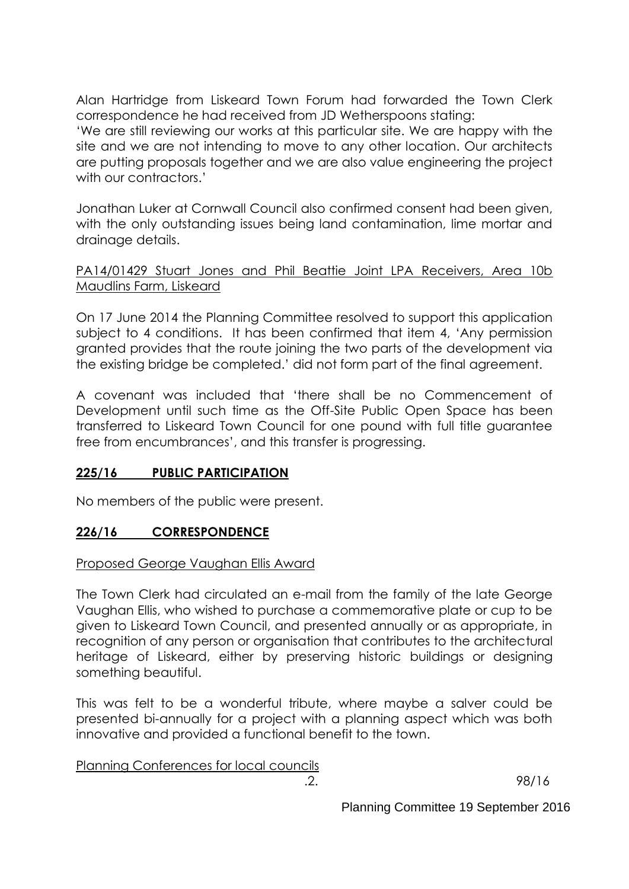Alan Hartridge from Liskeard Town Forum had forwarded the Town Clerk correspondence he had received from JD Wetherspoons stating:

'We are still reviewing our works at this particular site. We are happy with the site and we are not intending to move to any other location. Our architects are putting proposals together and we are also value engineering the project with our contractors.'

Jonathan Luker at Cornwall Council also confirmed consent had been given, with the only outstanding issues being land contamination, lime mortar and drainage details.

PA14/01429 Stuart Jones and Phil Beattie Joint LPA Receivers, Area 10b Maudlins Farm, Liskeard

On 17 June 2014 the Planning Committee resolved to support this application subject to 4 conditions. It has been confirmed that item 4, 'Any permission granted provides that the route joining the two parts of the development via the existing bridge be completed.' did not form part of the final agreement.

A covenant was included that 'there shall be no Commencement of Development until such time as the Off-Site Public Open Space has been transferred to Liskeard Town Council for one pound with full title guarantee free from encumbrances', and this transfer is progressing.

#### **225/16 PUBLIC PARTICIPATION**

No members of the public were present.

#### **226/16 CORRESPONDENCE**

#### Proposed George Vaughan Ellis Award

The Town Clerk had circulated an e-mail from the family of the late George Vaughan Ellis, who wished to purchase a commemorative plate or cup to be given to Liskeard Town Council, and presented annually or as appropriate, in recognition of any person or organisation that contributes to the architectural heritage of Liskeard, either by preserving historic buildings or designing something beautiful.

This was felt to be a wonderful tribute, where maybe a salver could be presented bi-annually for a project with a planning aspect which was both innovative and provided a functional benefit to the town.

Planning Conferences for local councils

.2. 98/16

Planning Committee 19 September 2016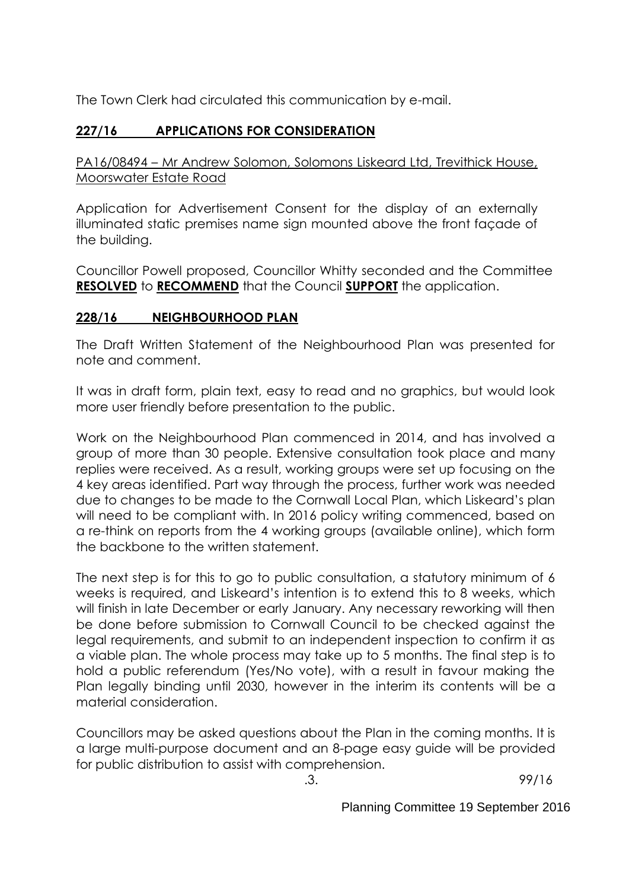The Town Clerk had circulated this communication by e-mail.

# **227/16 APPLICATIONS FOR CONSIDERATION**

PA16/08494 – Mr Andrew Solomon, Solomons Liskeard Ltd, Trevithick House, Moorswater Estate Road

Application for Advertisement Consent for the display of an externally illuminated static premises name sign mounted above the front façade of the building.

Councillor Powell proposed, Councillor Whitty seconded and the Committee **RESOLVED** to **RECOMMEND** that the Council **SUPPORT** the application.

### **228/16 NEIGHBOURHOOD PLAN**

The Draft Written Statement of the Neighbourhood Plan was presented for note and comment.

It was in draft form, plain text, easy to read and no graphics, but would look more user friendly before presentation to the public.

Work on the Neighbourhood Plan commenced in 2014, and has involved a group of more than 30 people. Extensive consultation took place and many replies were received. As a result, working groups were set up focusing on the 4 key areas identified. Part way through the process, further work was needed due to changes to be made to the Cornwall Local Plan, which Liskeard's plan will need to be compliant with. In 2016 policy writing commenced, based on a re-think on reports from the 4 working groups (available online), which form the backbone to the written statement.

The next step is for this to go to public consultation, a statutory minimum of 6 weeks is required, and Liskeard's intention is to extend this to 8 weeks, which will finish in late December or early January. Any necessary reworking will then be done before submission to Cornwall Council to be checked against the legal requirements, and submit to an independent inspection to confirm it as a viable plan. The whole process may take up to 5 months. The final step is to hold a public referendum (Yes/No vote), with a result in favour making the Plan legally binding until 2030, however in the interim its contents will be a material consideration.

Councillors may be asked questions about the Plan in the coming months. It is a large multi-purpose document and an 8-page easy guide will be provided for public distribution to assist with comprehension.

.3. 99/16

Planning Committee 19 September 2016